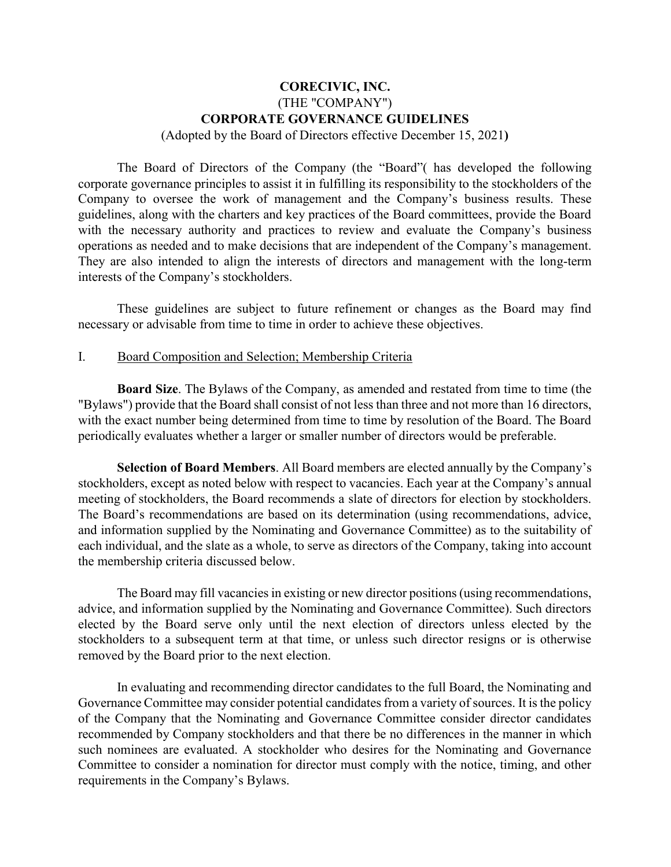# **CORECIVIC, INC.** (THE "COMPANY") **CORPORATE GOVERNANCE GUIDELINES**

(Adopted by the Board of Directors effective December 15, 2021**)**

The Board of Directors of the Company (the "Board"( has developed the following corporate governance principles to assist it in fulfilling its responsibility to the stockholders of the Company to oversee the work of management and the Company's business results. These guidelines, along with the charters and key practices of the Board committees, provide the Board with the necessary authority and practices to review and evaluate the Company's business operations as needed and to make decisions that are independent of the Company's management. They are also intended to align the interests of directors and management with the long-term interests of the Company's stockholders.

These guidelines are subject to future refinement or changes as the Board may find necessary or advisable from time to time in order to achieve these objectives.

#### I. Board Composition and Selection; Membership Criteria

**Board Size**. The Bylaws of the Company, as amended and restated from time to time (the "Bylaws") provide that the Board shall consist of not less than three and not more than 16 directors, with the exact number being determined from time to time by resolution of the Board. The Board periodically evaluates whether a larger or smaller number of directors would be preferable.

**Selection of Board Members**. All Board members are elected annually by the Company's stockholders, except as noted below with respect to vacancies. Each year at the Company's annual meeting of stockholders, the Board recommends a slate of directors for election by stockholders. The Board's recommendations are based on its determination (using recommendations, advice, and information supplied by the Nominating and Governance Committee) as to the suitability of each individual, and the slate as a whole, to serve as directors of the Company, taking into account the membership criteria discussed below.

The Board may fill vacancies in existing or new director positions (using recommendations, advice, and information supplied by the Nominating and Governance Committee). Such directors elected by the Board serve only until the next election of directors unless elected by the stockholders to a subsequent term at that time, or unless such director resigns or is otherwise removed by the Board prior to the next election.

In evaluating and recommending director candidates to the full Board, the Nominating and Governance Committee may consider potential candidates from a variety of sources. It is the policy of the Company that the Nominating and Governance Committee consider director candidates recommended by Company stockholders and that there be no differences in the manner in which such nominees are evaluated. A stockholder who desires for the Nominating and Governance Committee to consider a nomination for director must comply with the notice, timing, and other requirements in the Company's Bylaws.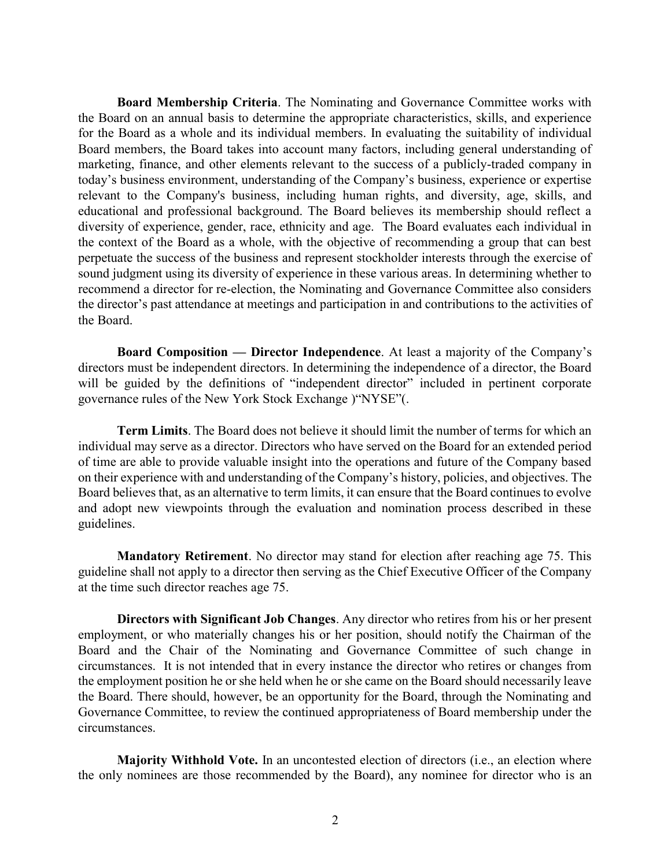**Board Membership Criteria**. The Nominating and Governance Committee works with the Board on an annual basis to determine the appropriate characteristics, skills, and experience for the Board as a whole and its individual members. In evaluating the suitability of individual Board members, the Board takes into account many factors, including general understanding of marketing, finance, and other elements relevant to the success of a publicly-traded company in today's business environment, understanding of the Company's business, experience or expertise relevant to the Company's business, including human rights, and diversity, age, skills, and educational and professional background. The Board believes its membership should reflect a diversity of experience, gender, race, ethnicity and age. The Board evaluates each individual in the context of the Board as a whole, with the objective of recommending a group that can best perpetuate the success of the business and represent stockholder interests through the exercise of sound judgment using its diversity of experience in these various areas. In determining whether to recommend a director for re-election, the Nominating and Governance Committee also considers the director's past attendance at meetings and participation in and contributions to the activities of the Board.

**Board Composition — Director Independence**. At least a majority of the Company's directors must be independent directors. In determining the independence of a director, the Board will be guided by the definitions of "independent director" included in pertinent corporate governance rules of the New York Stock Exchange )"NYSE"(.

**Term Limits**. The Board does not believe it should limit the number of terms for which an individual may serve as a director. Directors who have served on the Board for an extended period of time are able to provide valuable insight into the operations and future of the Company based on their experience with and understanding of the Company's history, policies, and objectives. The Board believes that, as an alternative to term limits, it can ensure that the Board continues to evolve and adopt new viewpoints through the evaluation and nomination process described in these guidelines.

**Mandatory Retirement**. No director may stand for election after reaching age 75. This guideline shall not apply to a director then serving as the Chief Executive Officer of the Company at the time such director reaches age 75.

**Directors with Significant Job Changes**. Any director who retires from his or her present employment, or who materially changes his or her position, should notify the Chairman of the Board and the Chair of the Nominating and Governance Committee of such change in circumstances. It is not intended that in every instance the director who retires or changes from the employment position he or she held when he or she came on the Board should necessarily leave the Board. There should, however, be an opportunity for the Board, through the Nominating and Governance Committee, to review the continued appropriateness of Board membership under the circumstances.

**Majority Withhold Vote.** In an uncontested election of directors (i.e., an election where the only nominees are those recommended by the Board), any nominee for director who is an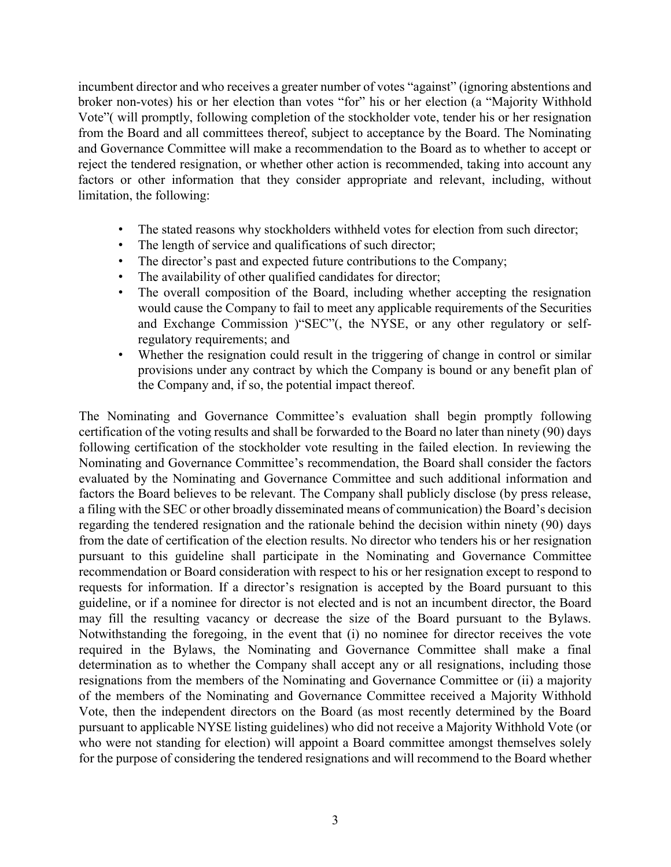incumbent director and who receives a greater number of votes "against" (ignoring abstentions and broker non-votes) his or her election than votes "for" his or her election (a "Majority Withhold Vote"( will promptly, following completion of the stockholder vote, tender his or her resignation from the Board and all committees thereof, subject to acceptance by the Board. The Nominating and Governance Committee will make a recommendation to the Board as to whether to accept or reject the tendered resignation, or whether other action is recommended, taking into account any factors or other information that they consider appropriate and relevant, including, without limitation, the following:

- The stated reasons why stockholders withheld votes for election from such director;
- The length of service and qualifications of such director;
- The director's past and expected future contributions to the Company;
- The availability of other qualified candidates for director;
- The overall composition of the Board, including whether accepting the resignation would cause the Company to fail to meet any applicable requirements of the Securities and Exchange Commission )"SEC"(, the NYSE, or any other regulatory or selfregulatory requirements; and
- Whether the resignation could result in the triggering of change in control or similar provisions under any contract by which the Company is bound or any benefit plan of the Company and, if so, the potential impact thereof.

The Nominating and Governance Committee's evaluation shall begin promptly following certification of the voting results and shall be forwarded to the Board no later than ninety (90) days following certification of the stockholder vote resulting in the failed election. In reviewing the Nominating and Governance Committee's recommendation, the Board shall consider the factors evaluated by the Nominating and Governance Committee and such additional information and factors the Board believes to be relevant. The Company shall publicly disclose (by press release, a filing with the SEC or other broadly disseminated means of communication) the Board's decision regarding the tendered resignation and the rationale behind the decision within ninety (90) days from the date of certification of the election results. No director who tenders his or her resignation pursuant to this guideline shall participate in the Nominating and Governance Committee recommendation or Board consideration with respect to his or her resignation except to respond to requests for information. If a director's resignation is accepted by the Board pursuant to this guideline, or if a nominee for director is not elected and is not an incumbent director, the Board may fill the resulting vacancy or decrease the size of the Board pursuant to the Bylaws. Notwithstanding the foregoing, in the event that (i) no nominee for director receives the vote required in the Bylaws, the Nominating and Governance Committee shall make a final determination as to whether the Company shall accept any or all resignations, including those resignations from the members of the Nominating and Governance Committee or (ii) a majority of the members of the Nominating and Governance Committee received a Majority Withhold Vote, then the independent directors on the Board (as most recently determined by the Board pursuant to applicable NYSE listing guidelines) who did not receive a Majority Withhold Vote (or who were not standing for election) will appoint a Board committee amongst themselves solely for the purpose of considering the tendered resignations and will recommend to the Board whether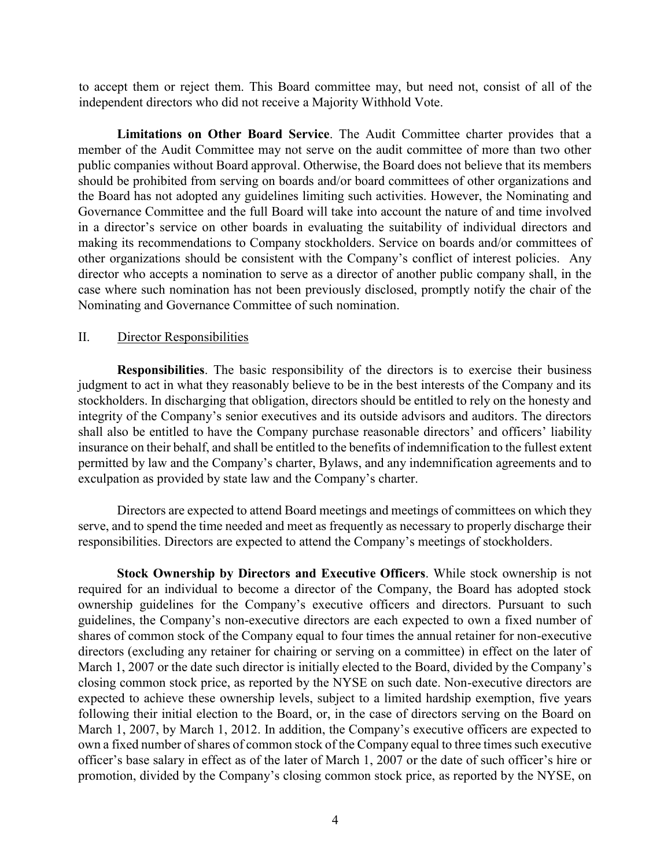to accept them or reject them. This Board committee may, but need not, consist of all of the independent directors who did not receive a Majority Withhold Vote.

**Limitations on Other Board Service**. The Audit Committee charter provides that a member of the Audit Committee may not serve on the audit committee of more than two other public companies without Board approval. Otherwise, the Board does not believe that its members should be prohibited from serving on boards and/or board committees of other organizations and the Board has not adopted any guidelines limiting such activities. However, the Nominating and Governance Committee and the full Board will take into account the nature of and time involved in a director's service on other boards in evaluating the suitability of individual directors and making its recommendations to Company stockholders. Service on boards and/or committees of other organizations should be consistent with the Company's conflict of interest policies. Any director who accepts a nomination to serve as a director of another public company shall, in the case where such nomination has not been previously disclosed, promptly notify the chair of the Nominating and Governance Committee of such nomination.

#### II. Director Responsibilities

**Responsibilities**. The basic responsibility of the directors is to exercise their business judgment to act in what they reasonably believe to be in the best interests of the Company and its stockholders. In discharging that obligation, directors should be entitled to rely on the honesty and integrity of the Company's senior executives and its outside advisors and auditors. The directors shall also be entitled to have the Company purchase reasonable directors' and officers' liability insurance on their behalf, and shall be entitled to the benefits of indemnification to the fullest extent permitted by law and the Company's charter, Bylaws, and any indemnification agreements and to exculpation as provided by state law and the Company's charter.

Directors are expected to attend Board meetings and meetings of committees on which they serve, and to spend the time needed and meet as frequently as necessary to properly discharge their responsibilities. Directors are expected to attend the Company's meetings of stockholders.

**Stock Ownership by Directors and Executive Officers**. While stock ownership is not required for an individual to become a director of the Company, the Board has adopted stock ownership guidelines for the Company's executive officers and directors. Pursuant to such guidelines, the Company's non-executive directors are each expected to own a fixed number of shares of common stock of the Company equal to four times the annual retainer for non-executive directors (excluding any retainer for chairing or serving on a committee) in effect on the later of March 1, 2007 or the date such director is initially elected to the Board, divided by the Company's closing common stock price, as reported by the NYSE on such date. Non-executive directors are expected to achieve these ownership levels, subject to a limited hardship exemption, five years following their initial election to the Board, or, in the case of directors serving on the Board on March 1, 2007, by March 1, 2012. In addition, the Company's executive officers are expected to own a fixed number of shares of common stock of the Company equal to three times such executive officer's base salary in effect as of the later of March 1, 2007 or the date of such officer's hire or promotion, divided by the Company's closing common stock price, as reported by the NYSE, on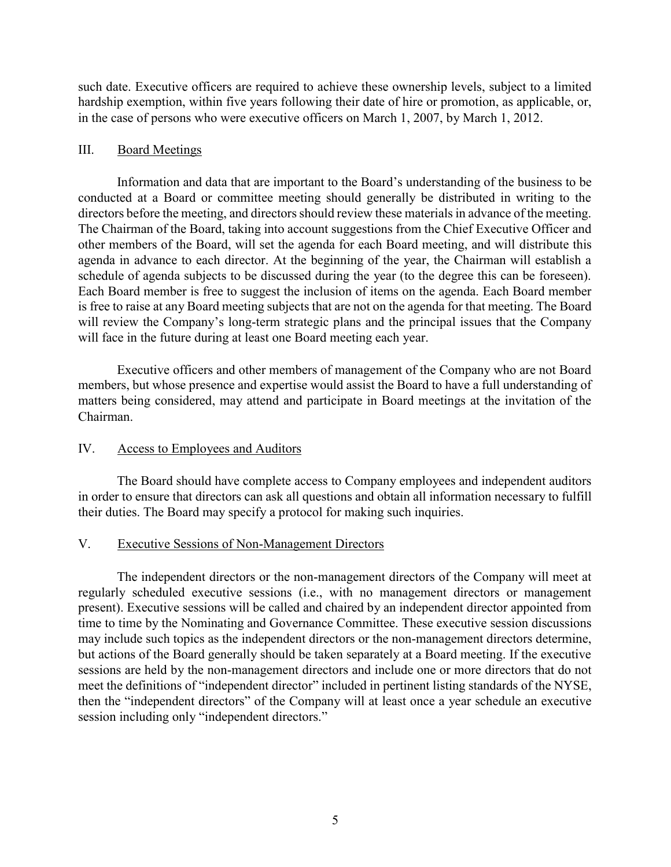such date. Executive officers are required to achieve these ownership levels, subject to a limited hardship exemption, within five years following their date of hire or promotion, as applicable, or, in the case of persons who were executive officers on March 1, 2007, by March 1, 2012.

# III. Board Meetings

Information and data that are important to the Board's understanding of the business to be conducted at a Board or committee meeting should generally be distributed in writing to the directors before the meeting, and directors should review these materials in advance of the meeting. The Chairman of the Board, taking into account suggestions from the Chief Executive Officer and other members of the Board, will set the agenda for each Board meeting, and will distribute this agenda in advance to each director. At the beginning of the year, the Chairman will establish a schedule of agenda subjects to be discussed during the year (to the degree this can be foreseen). Each Board member is free to suggest the inclusion of items on the agenda. Each Board member is free to raise at any Board meeting subjects that are not on the agenda for that meeting. The Board will review the Company's long-term strategic plans and the principal issues that the Company will face in the future during at least one Board meeting each year.

Executive officers and other members of management of the Company who are not Board members, but whose presence and expertise would assist the Board to have a full understanding of matters being considered, may attend and participate in Board meetings at the invitation of the Chairman.

# IV. Access to Employees and Auditors

The Board should have complete access to Company employees and independent auditors in order to ensure that directors can ask all questions and obtain all information necessary to fulfill their duties. The Board may specify a protocol for making such inquiries.

## V. Executive Sessions of Non-Management Directors

The independent directors or the non-management directors of the Company will meet at regularly scheduled executive sessions (i.e., with no management directors or management present). Executive sessions will be called and chaired by an independent director appointed from time to time by the Nominating and Governance Committee. These executive session discussions may include such topics as the independent directors or the non-management directors determine, but actions of the Board generally should be taken separately at a Board meeting. If the executive sessions are held by the non-management directors and include one or more directors that do not meet the definitions of "independent director" included in pertinent listing standards of the NYSE, then the "independent directors" of the Company will at least once a year schedule an executive session including only "independent directors."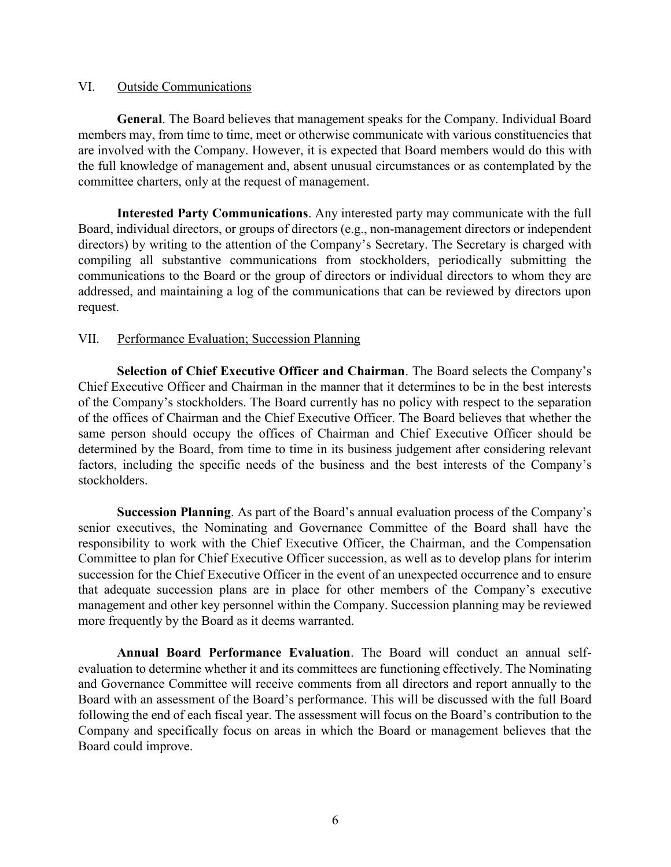#### VI. Outside Communications

**General**. The Board believes that management speaks for the Company. Individual Board members may, from time to time, meet or otherwise communicate with various constituencies that are involved with the Company. However, it is expected that Board members would do this with the full knowledge of management and, absent unusual circumstances or as contemplated by the committee charters, only at the request of management.

**Interested Party Communications**. Any interested party may communicate with the full Board, individual directors, or groups of directors (e.g., non-management directors or independent directors) by writing to the attention of the Company's Secretary. The Secretary is charged with compiling all substantive communications from stockholders, periodically submitting the communications to the Board or the group of directors or individual directors to whom they are addressed, and maintaining a log of the communications that can be reviewed by directors upon request.

#### VII. Performance Evaluation; Succession Planning

**Selection of Chief Executive Officer and Chairman**. The Board selects the Company's Chief Executive Officer and Chairman in the manner that it determines to be in the best interests of the Company's stockholders. The Board currently has no policy with respect to the separation of the offices of Chairman and the Chief Executive Officer. The Board believes that whether the same person should occupy the offices of Chairman and Chief Executive Officer should be determined by the Board, from time to time in its business judgement after considering relevant factors, including the specific needs of the business and the best interests of the Company's stockholders.

**Succession Planning**. As part of the Board's annual evaluation process of the Company's senior executives, the Nominating and Governance Committee of the Board shall have the responsibility to work with the Chief Executive Officer, the Chairman, and the Compensation Committee to plan for Chief Executive Officer succession, as well as to develop plans for interim succession for the Chief Executive Officer in the event of an unexpected occurrence and to ensure that adequate succession plans are in place for other members of the Company's executive management and other key personnel within the Company. Succession planning may be reviewed more frequently by the Board as it deems warranted.

**Annual Board Performance Evaluation**. The Board will conduct an annual selfevaluation to determine whether it and its committees are functioning effectively. The Nominating and Governance Committee will receive comments from all directors and report annually to the Board with an assessment of the Board's performance. This will be discussed with the full Board following the end of each fiscal year. The assessment will focus on the Board's contribution to the Company and specifically focus on areas in which the Board or management believes that the Board could improve.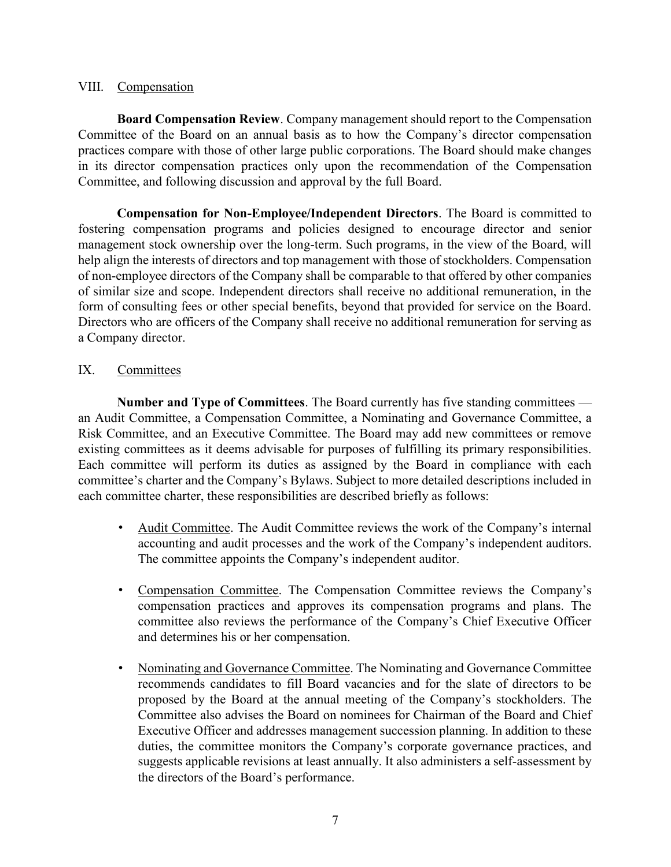#### VIII. Compensation

**Board Compensation Review**. Company management should report to the Compensation Committee of the Board on an annual basis as to how the Company's director compensation practices compare with those of other large public corporations. The Board should make changes in its director compensation practices only upon the recommendation of the Compensation Committee, and following discussion and approval by the full Board.

**Compensation for Non-Employee/Independent Directors**. The Board is committed to fostering compensation programs and policies designed to encourage director and senior management stock ownership over the long-term. Such programs, in the view of the Board, will help align the interests of directors and top management with those of stockholders. Compensation of non-employee directors of the Company shall be comparable to that offered by other companies of similar size and scope. Independent directors shall receive no additional remuneration, in the form of consulting fees or other special benefits, beyond that provided for service on the Board. Directors who are officers of the Company shall receive no additional remuneration for serving as a Company director.

# IX. Committees

**Number and Type of Committees**. The Board currently has five standing committees an Audit Committee, a Compensation Committee, a Nominating and Governance Committee, a Risk Committee, and an Executive Committee. The Board may add new committees or remove existing committees as it deems advisable for purposes of fulfilling its primary responsibilities. Each committee will perform its duties as assigned by the Board in compliance with each committee's charter and the Company's Bylaws. Subject to more detailed descriptions included in each committee charter, these responsibilities are described briefly as follows:

- Audit Committee. The Audit Committee reviews the work of the Company's internal accounting and audit processes and the work of the Company's independent auditors. The committee appoints the Company's independent auditor.
- Compensation Committee. The Compensation Committee reviews the Company's compensation practices and approves its compensation programs and plans. The committee also reviews the performance of the Company's Chief Executive Officer and determines his or her compensation.
- Nominating and Governance Committee. The Nominating and Governance Committee recommends candidates to fill Board vacancies and for the slate of directors to be proposed by the Board at the annual meeting of the Company's stockholders. The Committee also advises the Board on nominees for Chairman of the Board and Chief Executive Officer and addresses management succession planning. In addition to these duties, the committee monitors the Company's corporate governance practices, and suggests applicable revisions at least annually. It also administers a self-assessment by the directors of the Board's performance.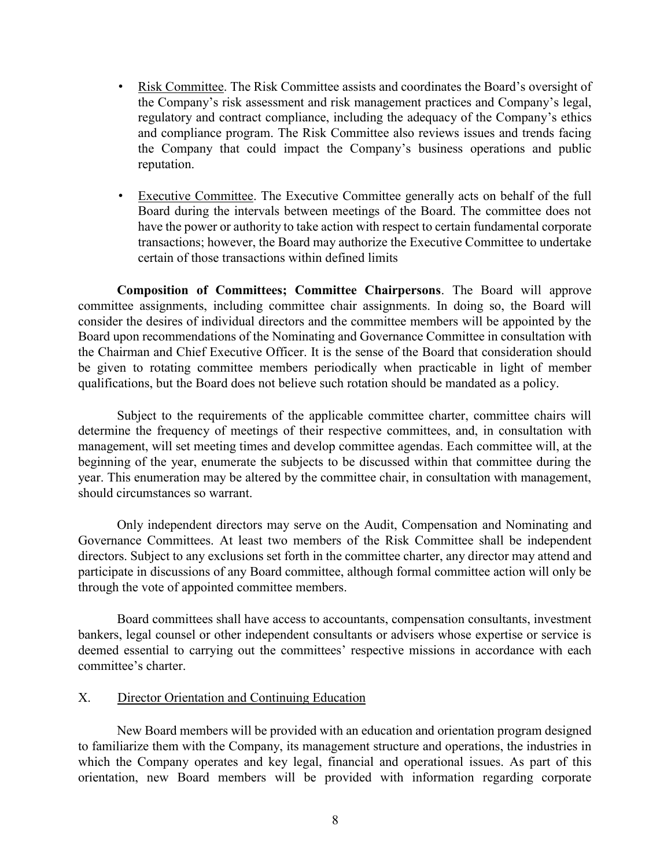- Risk Committee. The Risk Committee assists and coordinates the Board's oversight of the Company's risk assessment and risk management practices and Company's legal, regulatory and contract compliance, including the adequacy of the Company's ethics and compliance program. The Risk Committee also reviews issues and trends facing the Company that could impact the Company's business operations and public reputation.
- Executive Committee. The Executive Committee generally acts on behalf of the full Board during the intervals between meetings of the Board. The committee does not have the power or authority to take action with respect to certain fundamental corporate transactions; however, the Board may authorize the Executive Committee to undertake certain of those transactions within defined limits

**Composition of Committees; Committee Chairpersons**. The Board will approve committee assignments, including committee chair assignments. In doing so, the Board will consider the desires of individual directors and the committee members will be appointed by the Board upon recommendations of the Nominating and Governance Committee in consultation with the Chairman and Chief Executive Officer. It is the sense of the Board that consideration should be given to rotating committee members periodically when practicable in light of member qualifications, but the Board does not believe such rotation should be mandated as a policy.

Subject to the requirements of the applicable committee charter, committee chairs will determine the frequency of meetings of their respective committees, and, in consultation with management, will set meeting times and develop committee agendas. Each committee will, at the beginning of the year, enumerate the subjects to be discussed within that committee during the year. This enumeration may be altered by the committee chair, in consultation with management, should circumstances so warrant.

Only independent directors may serve on the Audit, Compensation and Nominating and Governance Committees. At least two members of the Risk Committee shall be independent directors. Subject to any exclusions set forth in the committee charter, any director may attend and participate in discussions of any Board committee, although formal committee action will only be through the vote of appointed committee members.

Board committees shall have access to accountants, compensation consultants, investment bankers, legal counsel or other independent consultants or advisers whose expertise or service is deemed essential to carrying out the committees' respective missions in accordance with each committee's charter.

## X. Director Orientation and Continuing Education

New Board members will be provided with an education and orientation program designed to familiarize them with the Company, its management structure and operations, the industries in which the Company operates and key legal, financial and operational issues. As part of this orientation, new Board members will be provided with information regarding corporate